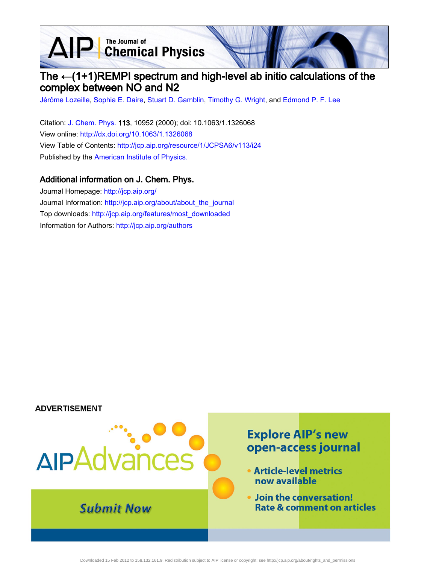AIP Chemical Physics

# The  $\leftarrow$ (1+1)REMPI spectrum and high-level ab initio calculations of the complex between NO and N2

[Jérôme Lozeille](http://jcp.aip.org/search?sortby=newestdate&q=&searchzone=2&searchtype=searchin&faceted=faceted&key=AIP_ALL&possible1=J�r�me Lozeille&possible1zone=author&alias=&displayid=AIP&ver=pdfcov), [Sophia E. Daire,](http://jcp.aip.org/search?sortby=newestdate&q=&searchzone=2&searchtype=searchin&faceted=faceted&key=AIP_ALL&possible1=Sophia E. Daire&possible1zone=author&alias=&displayid=AIP&ver=pdfcov) [Stuart D. Gamblin](http://jcp.aip.org/search?sortby=newestdate&q=&searchzone=2&searchtype=searchin&faceted=faceted&key=AIP_ALL&possible1=Stuart D. Gamblin&possible1zone=author&alias=&displayid=AIP&ver=pdfcov), [Timothy G. Wright](http://jcp.aip.org/search?sortby=newestdate&q=&searchzone=2&searchtype=searchin&faceted=faceted&key=AIP_ALL&possible1=Timothy G. Wright&possible1zone=author&alias=&displayid=AIP&ver=pdfcov), and [Edmond P. F. Lee](http://jcp.aip.org/search?sortby=newestdate&q=&searchzone=2&searchtype=searchin&faceted=faceted&key=AIP_ALL&possible1=Edmond P. F. Lee&possible1zone=author&alias=&displayid=AIP&ver=pdfcov)

Citation: [J. Chem. Phys. 1](http://jcp.aip.org/?ver=pdfcov)13, 10952 (2000); doi: 10.1063/1.1326068 View online: [http://dx.doi.org/10.1063/1.1326068](http://link.aip.org/link/doi/10.1063/1.1326068?ver=pdfcov) View Table of Contents: [http://jcp.aip.org/resource/1/JCPSA6/v113/i24](http://jcp.aip.org/resource/1/JCPSA6/v113/i24?ver=pdfcov) Published by the [American Institute of Physics.](http://www.aip.org/?ver=pdfcov)

## Additional information on J. Chem. Phys.

Journal Homepage: [http://jcp.aip.org/](http://jcp.aip.org/?ver=pdfcov) Journal Information: [http://jcp.aip.org/about/about\\_the\\_journal](http://jcp.aip.org/about/about_the_journal?ver=pdfcov) Top downloads: [http://jcp.aip.org/features/most\\_downloaded](http://jcp.aip.org/features/most_downloaded?ver=pdfcov) Information for Authors: [http://jcp.aip.org/authors](http://jcp.aip.org/authors?ver=pdfcov)

## **ADVERTISEMENT**

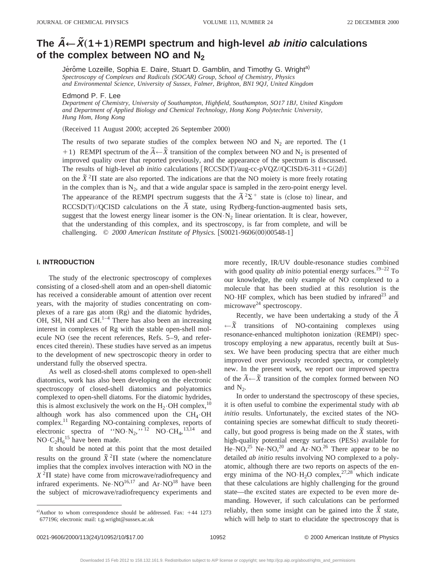## **The**  $\tilde{A} \leftarrow \tilde{X}(1+1)$  REMPI spectrum and high-level *ab* initio calculations **of the complex between NO and N2**

Jérôme Lozeille, Sophia E. Daire, Stuart D. Gamblin, and Timothy G. Wright<sup>a)</sup> *Spectroscopy of Complexes and Radicals (SOCAR) Group, School of Chemistry, Physics and Environmental Science, University of Sussex, Falmer, Brighton, BN1 9QJ, United Kingdom*

#### Edmond P. F. Lee

*Department of Chemistry, University of Southampton, Highfield, Southampton, SO17 1BJ, United Kingdom and Department of Applied Biology and Chemical Technology, Hong Kong Polytechnic University, Hung Hom, Hong Kong*

(Received 11 August 2000; accepted 26 September 2000)

The results of two separate studies of the complex between NO and  $N_2$  are reported. The (1) 11) REMPI spectrum of the  $\tilde{A} \leftarrow \tilde{X}$  transition of the complex between NO and N<sub>2</sub> is presented of improved quality over that reported previously, and the appearance of the spectrum is discussed. The results of high-level *ab initio* calculations  $[RCCSD(T)/aug-cc-pVQZ]/QCISD/6-311+G(2d)]$ on the  $\overline{X}^2\Pi$  state are also reported. The indications are that the NO moiety is more freely rotating in the complex than is  $N_2$ , and that a wide angular space is sampled in the zero-point energy level. The appearance of the REMPI spectrum suggests that the  $\tilde{A}^2\Sigma^+$  state is (close to) linear, and  $RCCSD(T)/QCISD$  calculations on the  $\tilde{A}$  state, using Rydberg-function-augmented basis sets, suggest that the lowest energy linear isomer is the  $ON·N<sub>2</sub>$  linear orientation. It is clear, however, that the understanding of this complex, and its spectroscopy, is far from complete, and will be challenging. © 2000 American Institute of Physics. [S0021-9606(00)00548-1]

### **I. INTRODUCTION**

The study of the electronic spectroscopy of complexes consisting of a closed-shell atom and an open-shell diatomic has received a considerable amount of attention over recent years, with the majority of studies concentrating on complexes of a rare gas atom (Rg) and the diatomic hydrides, OH, SH, NH and CH $^{1-4}$  There has also been an increasing interest in complexes of Rg with the stable open-shell molecule NO (see the recent references, Refs.  $5-9$ , and references cited therein). These studies have served as an impetus to the development of new spectroscopic theory in order to understand fully the observed spectra.

As well as closed-shell atoms complexed to open-shell diatomics, work has also been developing on the electronic spectroscopy of closed-shell diatomics and polyatomics complexed to open-shell diatoms. For the diatomic hydrides, this is almost exclusively the work on the  $H_2$ ·OH complex, <sup>10</sup> although work has also commenced upon the  $CH<sub>4</sub> \cdot OH$ complex.11 Regarding NO-containing complexes, reports of electronic spectra of "NO·N<sub>2</sub>," <sup>12</sup> NO·CH<sub>4</sub>,<sup>13,14</sup> and  $NO \cdot C_2H_6^{15}$  have been made.

It should be noted at this point that the most detailed results on the ground  $\tilde{X}^2\Pi$  state (where the nomenclature implies that the complex involves interaction with NO in the  $X<sup>2</sup>$ II state) have come from microwave/radiofrequency and infrared experiments. Ne $\cdot$ NO<sup>16,17</sup> and Ar $\cdot$ NO<sup>18</sup> have been the subject of microwave/radiofrequency experiments and more recently, IR/UV double-resonance studies combined with good quality *ab initio* potential energy surfaces.<sup>19-22</sup> To our knowledge, the only example of NO complexed to a molecule that has been studied at this resolution is the NO•HF complex, which has been studied by infrared<sup>23</sup> and microwave $24$  spectroscopy.

Recently, we have been undertaking a study of the  $\tilde{A}$  $\leftarrow \tilde{X}$  transitions of NO-containing complexes using resonance-enhanced multiphoton ionization (REMPI) spectroscopy employing a new apparatus, recently built at Sussex. We have been producing spectra that are either much improved over previously recorded spectra, or completely new. In the present work, we report our improved spectra of the  $\tilde{A} \leftarrow \tilde{X}$  transition of the complex formed between NO and  $N_2$ .

In order to understand the spectroscopy of these species, it is often useful to combine the experimental study with *ab initio* results. Unfortunately, the excited states of the NOcontaining species are somewhat difficult to study theoretically, but good progress is being made on the  $\tilde{X}$  states, with high-quality potential energy surfaces (PESs) available for He•NO,<sup>25</sup> Ne•NO,<sup>20</sup> and Ar•NO.<sup>26</sup> There appear to be no detailed *ab initio* results involving NO complexed to a polyatomic, although there are two reports on aspects of the energy minima of the NO⋅H<sub>2</sub>O complex,<sup>27,28</sup> which indicate that these calculations are highly challenging for the ground state—the excited states are expected to be even more demanding. However, if such calculations can be performed reliably, then some insight can be gained into the  $\tilde{X}$  state, which will help to start to elucidate the spectroscopy that is

a)Author to whom correspondence should be addressed. Fax:  $+44$  1273 677196; electronic mail: t.g.wright@sussex.ac.uk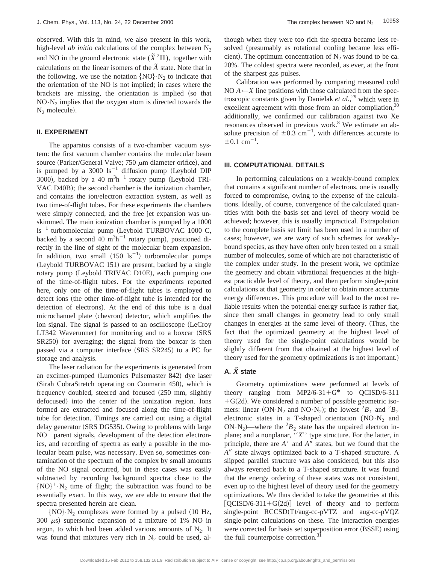observed. With this in mind, we also present in this work, high-level *ab initio* calculations of the complex between  $N_2$ and NO in the ground electronic state  $(\bar{X}^2\Pi)$ , together with calculations on the linear isomers of the  $\tilde{A}$  state. Note that in the following, we use the notation  $\{NO\} \cdot N_2$  to indicate that the orientation of the NO is not implied; in cases where the brackets are missing, the orientation is implied (so that  $NO·N<sub>2</sub>$  implies that the oxygen atom is directed towards the  $N_2$  molecule).

### **II. EXPERIMENT**

The apparatus consists of a two-chamber vacuum system: the first vacuum chamber contains the molecular beam source (Parker/General Valve; 750  $\mu$ m diameter orifice), and is pumped by a 3000  $\text{ls}^{-1}$  diffusion pump (Leybold DIP 3000), backed by a 40  $m^3h^{-1}$  rotary pump (Leybold TRI-VAC D40B); the second chamber is the ionization chamber, and contains the ion/electron extraction system, as well as two time-of-flight tubes. For these experiments the chambers were simply connected, and the free jet expansion was unskimmed. The main ionization chamber is pumped by a 1000  $\rm{ls}^{-1}$  turbomolecular pump (Leybold TURBOVAC 1000 C, backed by a second 40  $m^3h^{-1}$  rotary pump), positioned directly in the line of sight of the molecular beam expansion. In addition, two small  $(150 \text{ ls}^{-1})$  turbomolecular pumps  $(Leybold TURBOVAC 151)$  are present, backed by a single rotary pump (Leybold TRIVAC D10E), each pumping one of the time-of-flight tubes. For the experiments reported here, only one of the time-of-flight tubes is employed to detect ions (the other time-of-flight tube is intended for the detection of electrons). At the end of this tube is a dual microchannel plate (chevron) detector, which amplifies the ion signal. The signal is passed to an oscilloscope (LeCroy LT342 Waverunner) for monitoring and to a boxcar (SRS SR250) for averaging; the signal from the boxcar is then passed via a computer interface (SRS SR245) to a PC for storage and analysis.

The laser radiation for the experiments is generated from an excimer-pumped (Lumonics Pulsemaster 842) dye laser (Sirah CobraStretch operating on Coumarin 450), which is frequency doubled, steered and focused (250 mm, slightly defocused) into the center of the ionization region. Ions formed are extracted and focused along the time-of-flight tube for detection. Timings are carried out using a digital delay generator (SRS DG535). Owing to problems with large  $NO<sup>+</sup>$  parent signals, development of the detection electronics, and recording of spectra as early a possible in the molecular beam pulse, was necessary. Even so, sometimes contamination of the spectrum of the complex by small amounts of the NO signal occurred, but in these cases was easily subtracted by recording background spectra close to the  ${NO}^+ \cdot N_2$  time of flight; the subtraction was found to be essentially exact. In this way, we are able to ensure that the spectra presented herein are clean.

 ${NO} \cdot N_2$  complexes were formed by a pulsed (10 Hz, 300  $\mu$ s) supersonic expansion of a mixture of 1% NO in argon, to which had been added various amounts of  $N_2$ . It was found that mixtures very rich in  $N_2$  could be used, although when they were too rich the spectra became less resolved (presumably as rotational cooling became less efficient). The optimum concentration of  $N_2$  was found to be ca. 20%. The coldest spectra were recorded, as ever, at the front of the sharpest gas pulses.

Calibration was performed by comparing measured cold NO  $A \leftarrow X$  line positions with those calculated from the spectroscopic constants given by Danielak *et al.*, <sup>29</sup> which were in excellent agreement with those from an older compilation,<sup>30</sup> additionally, we confirmed our calibration against two Xe resonances observed in previous work.<sup>8</sup> We estimate an absolute precision of  $\pm 0.3$  cm<sup>-1</sup>, with differences accurate to  $\pm 0.1$  cm<sup>-1</sup>.

## **III. COMPUTATIONAL DETAILS**

In performing calculations on a weakly-bound complex that contains a significant number of electrons, one is usually forced to compromise, owing to the expense of the calculations. Ideally, of course, convergence of the calculated quantities with both the basis set and level of theory would be achieved; however, this is usually impractical. Extrapolation to the complete basis set limit has been used in a number of cases; however, we are wary of such schemes for weaklybound species, as they have often only been tested on a small number of molecules, some of which are not characteristic of the complex under study. In the present work, we optimize the geometry and obtain vibrational frequencies at the highest practicable level of theory, and then perform single-point calculations at that geometry in order to obtain more accurate energy differences. This procedure will lead to the most reliable results when the potential energy surface is rather flat, since then small changes in geometry lead to only small changes in energies at the same level of theory. (Thus, the fact that the optimized geometry at the highest level of theory used for the single-point calculations would be slightly different from that obtained at the highest level of theory used for the geometry optimizations is not important.)

## **A. X˜ state**

Geometry optimizations were performed at levels of theory ranging from  $MP2/6-31+G^*$  to  $OCISD/6-311$  $+G(2d)$ . We considered a number of possible geometric isomers: linear (ON·N<sub>2</sub> and NO·N<sub>2</sub>); the lowest <sup>2</sup>B<sub>1</sub> and <sup>2</sup>B<sub>2</sub> electronic states in a T-shaped orientation  $(NO·N<sub>2</sub>$  and ON $\cdot$ N<sub>2</sub>)—where the <sup>2</sup>B<sub>2</sub> state has the unpaired electron inplane; and a nonplanar, ''*X*'' type structure. For the latter, in principle, there are  $A'$  and  $A''$  states, but we found that the *A*9 state always optimized back to a T-shaped structure. A slipped parallel structure was also considered, but this also always reverted back to a T-shaped structure. It was found that the energy ordering of these states was not consistent, even up to the highest level of theory used for the geometry optimizations. We thus decided to take the geometries at this  $[QCISD/6-311+G(2d)]$  level of theory and to perform single-point  $RCCSD(T)/aug-cc-pVTZ$  and aug-cc-pVQZ single-point calculations on these. The interaction energies were corrected for basis set superposition error (BSSE) using the full counterpoise correction.<sup>31</sup>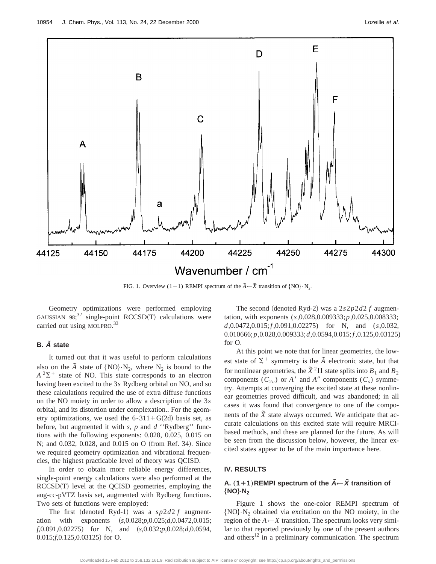

FIG. 1. Overview (1+1) REMPI spectrum of the  $\tilde{A} \leftarrow \tilde{X}$  transition of  $\{NO\} \cdot N_2$ .

Geometry optimizations were performed employing GAUSSIAN  $98;^{32}$  single-point RCCSD(T) calculations were carried out using MOLPRO.<sup>33</sup>

## **B. A˜ state**

It turned out that it was useful to perform calculations also on the  $\tilde{A}$  state of  $\{NO\} \cdot N_2$ , where  $N_2$  is bound to the  $A^2\Sigma^+$  state of NO. This state corresponds to an electron having been excited to the 3*s* Rydberg orbital on NO, and so these calculations required the use of extra diffuse functions on the NO moiety in order to allow a description of the 3*s* orbital, and its distortion under complexation.. For the geometry optimizations, we used the  $6-311+G(2d)$  basis set, as before, but augmented it with *s*, *p* and *d* ''Rydberg'' functions with the following exponents: 0.028, 0.025, 0.015 on N; and 0.032, 0.028, and 0.015 on O (from Ref. 34). Since we required geometry optimization and vibrational frequencies, the highest practicable level of theory was QCISD.

In order to obtain more reliable energy differences, single-point energy calculations were also performed at the  $RCCSD(T)$  level at the QCISD geometries, employing the aug-cc-pVTZ basis set, augmented with Rydberg functions. Two sets of functions were employed:

The first (denoted Ryd-1) was a  $sp2d2f$  augmentation with exponents  $(s,0.028; p,0.025; d,0.0472,0.015;$ *f*,0.091,0.02275! for N, and ~*s*,0.032;*p*,0.028;*d*,0.0594, 0.015;*f*,0.125,0.03125) for O.

The second (denoted Ryd-2) was a  $2s2p2d2f$  augmentation, with exponents (*s*,0.028,0.009333;*p*,0.025,0.008333; *d*,0.0472,0.015; *f* ,0.091,0.02275) for N, and (*s*,0.032, 0.010666;*p*,0.028,0.009333;*d*,0.0594,0.015; *f* ,0.125,0.03125) for O.

At this point we note that for linear geometries, the lowest state of  $\Sigma^+$  symmetry is the  $\tilde{A}$  electronic state, but that for nonlinear geometries, the  $\tilde{X}^2\Pi$  state splits into  $B_1$  and  $B_2$ components  $(C_{2v})$  or  $A'$  and  $A''$  components  $(C_s)$  symmetry. Attempts at converging the excited state at these nonlinear geometries proved difficult, and was abandoned; in all cases it was found that convergence to one of the components of the  $\bar{X}$  state always occurred. We anticipate that accurate calculations on this excited state will require MRCIbased methods, and these are planned for the future. As will be seen from the discussion below, however, the linear excited states appear to be of the main importance here.

## **IV. RESULTS**

## **A.**  $(1+1)$ **REMPI spectrum of the**  $\tilde{A} \leftarrow \tilde{X}$  **transition of** ˆ**NO**‰**"N2**

Figure 1 shows the one-color REMPI spectrum of  ${NO} \cdot N_2$  obtained via excitation on the NO moiety, in the region of the  $A \leftarrow X$  transition. The spectrum looks very similar to that reported previously by one of the present authors and others $12$  in a preliminary communication. The spectrum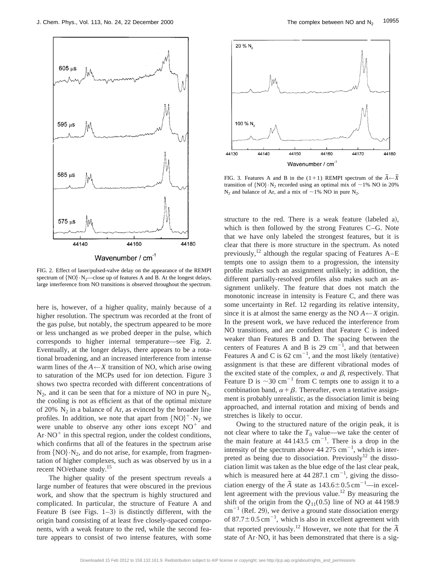

Wavenumber / cm<sup>-1</sup>

FIG. 2. Effect of laser/pulsed-valve delay on the appearance of the REMPI spectrum of  $\{NO\} \cdot N_2$ —close up of features A and B. At the longest delays, large interference from NO transitions is observed throughout the spectrum.

here is, however, of a higher quality, mainly because of a higher resolution. The spectrum was recorded at the front of the gas pulse, but notably, the spectrum appeared to be more or less unchanged as we probed deeper in the pulse, which corresponds to higher internal temperature—see Fig. 2. Eventually, at the longer delays, there appears to be a rotational broadening, and an increased interference from intense warm lines of the  $A \leftarrow X$  transition of NO, which arise owing to saturation of the MCPs used for ion detection. Figure 3 shows two spectra recorded with different concentrations of  $N_2$ , and it can be seen that for a mixture of NO in pure  $N_2$ , the cooling is not as efficient as that of the optimal mixture of 20%  $N_2$  in a balance of Ar, as evinced by the broader line profiles. In addition, we note that apart from  ${NO}^{+} \cdot N_2$  we were unable to observe any other ions except  $NO<sup>+</sup>$  and  $Ar \cdot NO^{+}$  in this spectral region, under the coldest conditions, which confirms that all of the features in the spectrum arise from  $\{NO\} \cdot N_2$ , and do not arise, for example, from fragmentation of higher complexes, such as was observed by us in a recent NO/ethane study.15

The higher quality of the present spectrum reveals a large number of features that were obscured in the previous work, and show that the spectrum is highly structured and complicated. In particular, the structure of Feature A and Feature B (see Figs.  $1-3$ ) is distinctly different, with the origin band consisting of at least five closely-spaced components, with a weak feature to the red, while the second feature appears to consist of two intense features, with some



FIG. 3. Features A and B in the (1+1) REMPI spectrum of the  $\tilde{A} \leftarrow \tilde{X}$ transition of  $\{NO\} \cdot N_2$  recorded using an optimal mix of ~1% NO in 20%  $N_2$  and balance of Ar, and a mix of  $\sim$ 1% NO in pure N<sub>2</sub>.

structure to the red. There is a weak feature (labeled a), which is then followed by the strong Features C–G. Note that we have only labeled the strongest features, but it is clear that there is more structure in the spectrum. As noted previously,<sup>12</sup> although the regular spacing of Features  $A-E$ tempts one to assign them to a progression, the intensity profile makes such an assignment unlikely; in addition, the different partially-resolved profiles also makes such an assignment unlikely. The feature that does not match the monotonic increase in intensity is Feature C, and there was some uncertainty in Ref. 12 regarding its relative intensity, since it is at almost the same energy as the NO  $A \leftarrow X$  origin. In the present work, we have reduced the interference from NO transitions, and are confident that Feature C is indeed weaker than Features B and D. The spacing between the centers of Features A and B is 29  $cm^{-1}$ , and that between Features A and C is  $62 \text{ cm}^{-1}$ , and the most likely (tentative) assignment is that these are different vibrational modes of the excited state of the complex,  $\alpha$  and  $\beta$ , respectively. That Feature D is  $\sim$ 30 cm<sup>-1</sup> from C tempts one to assign it to a combination band,  $\alpha + \beta$ . Thereafter, even a tentative assignment is probably unrealistic, as the dissociation limit is being approached, and internal rotation and mixing of bends and stretches is likely to occur.

Owing to the structured nature of the origin peak, it is not clear where to take the  $T_0$  value—we take the center of the main feature at  $44\,143.5$  cm<sup>-1</sup>. There is a drop in the intensity of the spectrum above  $44\,275\,\mathrm{cm}^{-1}$ , which is interpreted as being due to dissociation. Previously<sup>12</sup> the dissociation limit was taken as the blue edge of the last clear peak, which is measured here at  $44\,287.1$  cm<sup>-1</sup>, giving the dissociation energy of the  $\tilde{A}$  state as  $143.6 \pm 0.5$  cm<sup>-1</sup>-in excellent agreement with the previous value.<sup>12</sup> By measuring the shift of the origin from the  $Q_{11}(0.5)$  line of NO at 44 198.9  $cm^{-1}$  (Ref. 29), we derive a ground state dissociation energy of  $87.7 \pm 0.5$  cm<sup>-1</sup>, which is also in excellent agreement with that reported previously.<sup>12</sup> However, we note that for the  $\tilde{A}$ state of  $Ar\cdot NO$ , it has been demonstrated that there is a sig-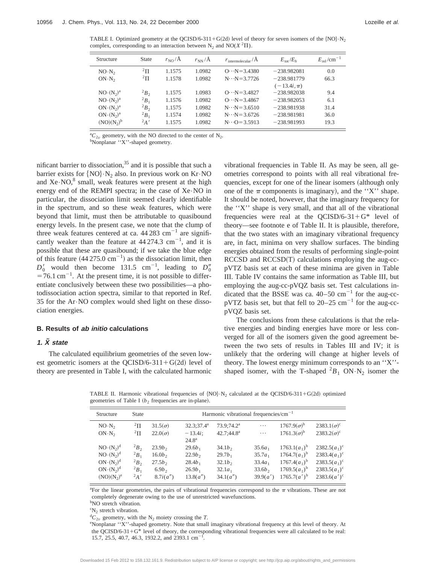TABLE I. Optimized geometry at the QCISD/6-311+G(2d) level of theory for seven isomers of the  ${NO} \cdot N_2$ complex, corresponding to an interaction between  $N_2$  and  $NO(X^2\Pi)$ .

| Structure          | <b>State</b> | $r_{\rm NO}/\rm A$ | $r_{NN}/\text{\AA}$ | $r_{\text{intermolecular}}/\text{A}$ | $E_{\rm tot}/E_h$ | $E_{rel}/cm^{-1}$ |
|--------------------|--------------|--------------------|---------------------|--------------------------------------|-------------------|-------------------|
| $NO \cdot N_2$     | $^{2}$ $\Pi$ | 1.1575             | 1.0982              | $Q \cdot \cdot N = 3.4380$           | $-238.982081$     | 0.0               |
| $ON \cdot N_2$     | $^{2}$ $\Pi$ | 1.1578             | 1.0982              | $N \cdot \cdot N = 3.7726$           | $-238.981779$     | 66.3              |
|                    |              |                    |                     |                                      | $(-13.4i, \pi)$   |                   |
| $NO \cdot (N_2)^a$ | ${}^2B_2$    | 1.1575             | 1.0983              | $Q \cdot \cdot N = 3.4827$           | $-238.982038$     | 9.4               |
| $NO \cdot (N_2)^a$ | $^{2}B_{1}$  | 1.1576             | 1.0982              | $Q \cdot \cdot N = 3.4867$           | $-238.982053$     | 6.1               |
| $ON(1N_2)^a$       | ${}^2B_2$    | 1.1575             | 1.0982              | $N \cdot \cdot N = 3.6510$           | $-238.981938$     | 31.4              |
| $ON(1N_2)^a$       | $^{2}B_{1}$  | 1.1574             | 1.0982              | $N \cdot \cdot N = 3.6726$           | $-238.981981$     | 36.0              |
| $(NO)(N_2)^b$      | $2_A$ '      | 1.1575             | 1.0982              | $N \cdot \cdot \cdot O = 3.5913$     | $-238.981993$     | 19.3              |

<sup>a</sup> $C_{2v}$  geometry, with the NO directed to the center of N<sub>2</sub>.<br><sup>b</sup>Nonplanar "X" shaped geometry

Nonplanar ''X''-shaped geometry.

nificant barrier to dissociation, $35$  and it is possible that such a barrier exists for  ${NO} \cdot N_2$  also. In previous work on Kr $\cdot$ NO and  $Xe\cdot NO$ ,<sup>8</sup> small, weak features were present at the high energy end of the REMPI spectra; in the case of Xe•NO in particular, the dissociation limit seemed clearly identifiable in the spectrum, and so these weak features, which were beyond that limit, must then be attributable to quasibound energy levels. In the present case, we note that the clump of three weak features centered at ca.  $44\,283$  cm<sup>-1</sup> are significantly weaker than the feature at  $44\,274.3$  cm<sup>-1</sup>, and it is possible that these are quasibound; if we take the blue edge of this feature  $(44\,275.0 \text{ cm}^{-1})$  as the dissociation limit, then  $D'_0$  would then become 131.5 cm<sup>-1</sup>, leading to  $D''_0$  $=76.1 \text{ cm}^{-1}$ . At the present time, it is not possible to differentiate conclusively between these two possibilities—a photodissociation action spectra, similar to that reported in Ref. 35 for the Ar•NO complex would shed light on these dissociation energies.

### **B. Results of ab initio calculations**

## 1.  $\tilde{X}$  state

The calculated equilibrium geometries of the seven lowest geometric isomers at the QCISD/6-311+G(2d) level of theory are presented in Table I, with the calculated harmonic vibrational frequencies in Table II. As may be seen, all geometries correspond to points with all real vibrational frequencies, except for one of the linear isomers (although only one of the  $\pi$  components is imaginary), and the ''X'' shape. It should be noted, however, that the imaginary frequency for the ''X'' shape is very small, and that all of the vibrational frequencies were real at the QCISD/6-31+ $G^*$  level of theory—see footnote e of Table II. It is plausible, therefore, that the two states with an imaginary vibrational frequency are, in fact, minima on very shallow surfaces. The binding energies obtained from the results of performing single-point  $RCCSD$  and  $RCCSD(T)$  calculations employing the aug-ccpVTZ basis set at each of these minima are given in Table III. Table IV contains the same information as Table III, but employing the aug-cc-pVQZ basis set. Test calculations indicated that the BSSE was ca.  $40-50$  cm<sup>-1</sup> for the aug-ccpVTZ basis set, but that fell to  $20-25$  cm<sup>-1</sup> for the aug-ccpVQZ basis set.

The conclusions from these calculations is that the relative energies and binding energies have more or less converged for all of the isomers given the good agreement between the two sets of results in Tables III and IV; it is unlikely that the ordering will change at higher levels of theory. The lowest energy minimum corresponds to an ''X'' shaped isomer, with the T-shaped  ${}^{2}B_{1}$  ON·N<sub>2</sub> isomer the

TABLE II. Harmonic vibrational frequencies of  ${NO} \cdot N_2$  calculated at the QCISD/6-311+G(2d) optimized geometries of Table I  $(b_2$  frequencies are in-plane).

| Structure          | <b>State</b> | Harmonic vibrational frequencies/ $\text{cm}^{-1}$ |                |                        |           |                    |                    |
|--------------------|--------------|----------------------------------------------------|----------------|------------------------|-----------|--------------------|--------------------|
| $NO \cdot N_2$     | $^{2}$ $\Pi$ | $31.5(\sigma)$                                     | $32.3:37.4^a$  | $73.9:74.2^a$          | .         | $1767.9(\sigma)^b$ | $2383.1(\sigma)^c$ |
| ON·N <sub>2</sub>  | $^{2}$ H     | $22.0(\sigma)$                                     | $-13.4i$ :     | 42.7:44.8 <sup>a</sup> | .         | $1761.3(\sigma)^b$ | $2383.2(\sigma)^c$ |
|                    |              |                                                    | $24.8^{\rm a}$ |                        |           |                    |                    |
| $NO \cdot (N_2)^d$ | $^{2}B_{2}$  | $23.9b_2$                                          | $29.6b_1$      | $34.1b_2$              | $35.6a_1$ | $1763.1(a_1)^b$    | $2382.5(a_1)^c$    |
| $NO \cdot (N_2)^d$ | ${}^2B_1$    | $16.0b_{2}$                                        | $22.9b_2$      | $29.7b_1$              | $35.7a_1$ | $1764.7(a_1)^b$    | $2383.4(a_1)^c$    |
| $ON(1N_2)^d$       | $^{2}B_{2}$  | $27.5b_2$                                          | $28.4b_1$      | 32.1b <sub>2</sub>     | $33.4a_1$ | $1767.4(a_1)^b$    | $2383.5(a_1)^c$    |
| $ON(1N_2)^d$       | ${}^2B_1$    | 6.9b <sub>2</sub>                                  | $26.9b_1$      | $32.1a_1$              | $33.6b_2$ | $1769.5(a_1)^b$    | $2383.5(a_1)^c$    |
| $(NO)(N_2)^e$      | $2_A$ '      | 8.7i(a'')                                          | 13.8(a'')      | 34.1(a'')              | 39.9(a')  | $1765.7(a')^b$     | $2383.6(a')^c$     |

<sup>a</sup>For the linear geometries, the pairs of vibrational frequencies correspond to the  $\pi$  vibrations. These are not completely degenerate owing to the use of unrestricted wavefunctions.

<sup>b</sup>NO stretch vibration.

 ${}^{\text{c}}\text{N}_2$  stretch vibration.

 ${}^{d}C_{2v}$  geometry, with the N<sub>2</sub> moiety crossing the *T*.

Nonplanar ''X''-shaped geometry. Note that small imaginary vibrational frequency at this level of theory. At the QCISD/6-31+G\* level of theory, the corresponding vibrational frequencies were all calculated to be real: 15.7, 25.5, 40.7, 46.3, 1932.2, and 2393.1 cm<sup>-</sup> .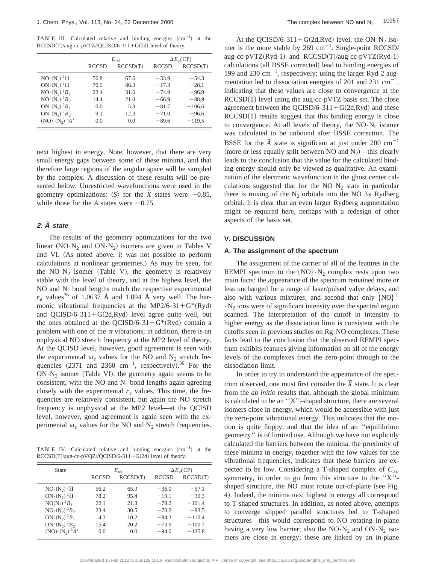TABLE III. Calculated relative and binding energies  $(cm<sup>-1</sup>)$  at the RCCSD(T)/aug-cc-pVTZ//QCISD/6-311+G(2d) level of theory.

|                                                          |              | $E_{rel}$ | $\Delta E_e$ (CP) |          |  |
|----------------------------------------------------------|--------------|-----------|-------------------|----------|--|
|                                                          | <b>RCCSD</b> | RCCSD(T)  | <b>RCCSD</b>      | RCCSD(T) |  |
| $NO(·(N2)2$ $\Pi$                                        | 56.8         | 67.6      | $-33.9$           | $-54.3$  |  |
| $ON( N_2 )^2\Pi$                                         | 70.5         | 86.3      | $-17.3$           | $-28.1$  |  |
| $NO \cdot (N_2)^2 B_1$                                   | 22.4         | 31.6      | $-74.9$           | $-96.9$  |  |
| $NO \cdot (N_2)^2 B_2$                                   | 14.4         | 21.0      | $-66.9$           | $-88.9$  |  |
| $ON \cdot (N_2)^2 B_1$                                   | 0.0          | 5.3       | $-81.7$           | $-106.6$ |  |
| ON $\cdot$ (N <sub>2</sub> ) <sup>2</sup> B <sub>2</sub> | 9.1          | 12.3      | $-71.0$           | $-96.6$  |  |
| $(NO) \cdot (N_2)^2 A'$                                  | 0.0          | 0.0       | $-89.6$           | $-119.5$ |  |

next highest in energy. Note, however, that there are very small energy gaps between some of these minima, and that therefore large regions of the angular space will be sampled by the complex. A discussion of these results will be presented below. Unrestricted wavefunctions were used in the geometry optimizations:  $\langle S \rangle$  for the  $\overline{X}$  states were  $\sim 0.85$ , while those for the *A* states were  $\sim$  0.75.

## **2. A˜ state**

The results of the geometry optimizations for the two linear  $(NO·N<sub>2</sub>)$  and  $ON·N<sub>2</sub>$ ) isomers are given in Tables V and VI. (As noted above, it was not possible to perform calculations at nonlinear geometries.) As may be seen, for the  $NO\cdot N_2$  isomer (Table V), the geometry is relatively stable with the level of theory, and at the highest level, the NO and  $N_2$  bond lengths match the respective experimental  $r_e$  values<sup>36</sup> of 1.0637 Å and 1.094 Å very well. The harmonic vibrational frequencies at the MP2/6-31+ $G^*(Ryd)$ and QCISD/6-311+G $(2d, Ryd)$  level agree quite well, but the ones obtained at the QCISD/6-31+ $G^*(Ryd)$  contain a problem with one of the  $\pi$  vibrations; in addition, there is an unphysical NO stretch frequency at the MP2 level of theory. At the QCISD level, however, good agreement is seen with the experimental  $\omega_e$  values for the NO and N<sub>2</sub> stretch frequencies  $(2371 \text{ and } 2360 \text{ cm}^{-1})$ , respectively).<sup>36</sup> For the  $ON·N<sub>2</sub>$  isomer (Table VI), the geometry again seems to be consistent, with the NO and  $N_2$  bond lengths again agreeing closely with the experimental  $r_e$  values. This time, the frequencies are relatively consistent, but again the NO stretch frequency is unphysical at the MP2 level—at the QCISD level, however, good agreement is again seen with the experimental  $\omega_e$  values for the NO and N<sub>2</sub> stretch frequencies.

TABLE IV. Calculated relative and binding energies  $(cm<sup>-1</sup>)$  at the RCCSD(T)/aug-cc-pVQZ//QCISD/6-311+G(2d) level of theory.

| State                                                    |              | $E_{rel}$ | $\Delta E_e$ (CP) |          |  |
|----------------------------------------------------------|--------------|-----------|-------------------|----------|--|
|                                                          | <b>RCCSD</b> | RCCSD(T)  | <b>RCCSD</b>      | RCCSD(T) |  |
| $NO(·(N2)2$ $\Pi$                                        | 56.2         | 65.9      | $-36.0$           | $-57.1$  |  |
| $ON( N_2 )^2\Pi$                                         | 78.2         | 95.4      | $-19.1$           | $-30.3$  |  |
| $NO(N_2)^2B_1$                                           | 22.1         | 21.3      | $-78.2$           | $-101.4$ |  |
| $NO \cdot (N_2)^2 B_2$                                   | 23.4         | 30.5      | $-70.2$           | $-93.5$  |  |
| $ON( N_2 )^2 B_1$                                        | 4.3          | 10.2      | $-84.3$           | $-110.4$ |  |
| ON $\cdot$ (N <sub>2</sub> ) <sup>2</sup> B <sub>2</sub> | 15.4         | 20.2      | $-73.9$           | $-100.7$ |  |
| $(NO) \cdot (N_2)^2 A'$                                  | 0.0          | 0.0       | $-94.0$           | $-125.8$ |  |

At the QCISD/6-311+G(2d,Ryd) level, the ON $\cdot$ N<sub>2</sub> isomer is the more stable by 269  $\text{cm}^{-1}$ . Single-point RCCSD/ aug-cc-pVTZ(Ryd-1) and  $RCCSD(T)/aug-cc-pVTZ(Ryd-1)$ calculations (all BSSE corrected) lead to binding energies of 199 and 230  $\text{cm}^{-1}$ , respectively; using the larger Ryd-2 augmentation led to dissociation energies of 201 and 231  $cm<sup>-1</sup>$ , indicating that these values are close to convergence at the  $RCCSD(T)$  level using the aug-cc-pVTZ basis set. The close agreement between the QCISD/6-311+G $(2d,Ryd)$  and these  $RCCSD(T)$  results suggest that this binding energy is close to convergence. At all levels of theory, the  $NO\cdot N_2$  isomer was calculated to be unbound after BSSE correction. The BSSE for the  $\overline{A}$  state is significant at just under 200 cm<sup>-1</sup> (more or less equally split between NO and  $N_2$ )—this clearly leads to the conclusion that the value for the calculated binding energy should only be viewed as qualitative. An examination of the electronic wavefunction in the ghost center calculations suggested that for the  $NO·N<sub>2</sub>$  state in particular there is mixing of the  $N_2$  orbitals into the NO 3s Rydberg orbital. It is clear that an even larger Rydberg augmentation might be required here, perhaps with a redesign of other aspects of the basis set.

## **V. DISCUSSION**

#### **A. The assignment of the spectrum**

The assignment of the carrier of all of the features in the REMPI spectrum to the  $\{NO\} \cdot N_2$  complex rests upon two main facts: the appearance of the spectrum remained more or less unchanged for a range of laser/pulsed valve delays, and also with various mixtures; and second that only  ${[NO]}^+$  $\cdot$ N<sub>2</sub> ions were of significant intensity over the spectral region scanned. The interpretation of the cutoff in intensity to higher energy as the dissociation limit is consistent with the cutoffs seen in previous studies on Rg•NO complexes. These facts lead to the conclusion that the observed REMPI spectrum exhibits features giving information on all of the energy levels of the complexes from the zero-point through to the dissociation limit.

In order to try to understand the appearance of the spectrum observed, one must first consider the  $\tilde{X}$  state. It is clear from the *ab initio* results that, although the global minimum is calculated to be an ''X''-shaped structure, there are several isomers close in energy, which would be accessible with just the zero-point vibrational energy. This indicates that the motion is quite floppy, and that the idea of an ''equilibrium geometry'' is of limited use. Although we have not explicitly calculated the barriers between the minima, the proximity of these minima in energy, together with the low values for the vibrational frequencies, indicates that these barriers are expected to be low. Considering a T-shaped complex of  $C_{2v}$ symmetry, in order to go from this structure to the ''X'' shaped structure, the NO must rotate out-of-plane (see Fig. 4). Indeed, the minima next highest in energy all correspond to T-shaped structures. In addition, as noted above, attempts to converge slipped parallel structures led to T-shaped structures—this would correspond to NO rotating in-plane having a very low barrier; also the  $NO\cdot N_2$  and  $ON\cdot N_2$  isomers are close in energy; these are linked by an in-plane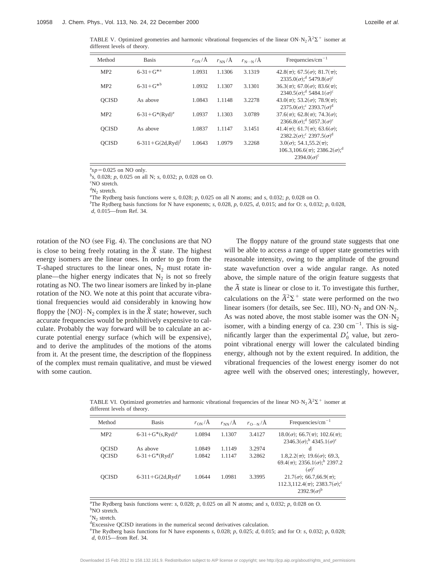TABLE V. Optimized geometries and harmonic vibrational frequencies of the linear  $ON \cdot N_2 \tilde{A}^2 \Sigma^+$  isomer at different levels of theory.

| Method          | <b>Basis</b>          | $r_{\rm ON}/\rm \AA$ | $r_{NN}/\text{\AA}$ | $r_{\text{N}\cdots\text{N}}/\text{A}$ | Frequencies/ $\rm cm^{-1}$                                                                                          |
|-----------------|-----------------------|----------------------|---------------------|---------------------------------------|---------------------------------------------------------------------------------------------------------------------|
| MP <sub>2</sub> | $6-31+G^{*a}$         | 1.0931               | 1.1306              | 3.1319                                | $42.8(\pi)$ ; 67.5( $\sigma$ ); 81.7( $\pi$ );<br>2335.0( $\sigma$ ); <sup>d</sup> 5479.8( $\sigma$ ) <sup>c</sup>  |
| MP <sub>2</sub> | $6 - 31 + G^{*b}$     | 1.0932               | 1.1307              | 3.1301                                | $36.3(\pi)$ ; 67.0( $\sigma$ ); 83.6( $\pi$ );<br>$2340.5(\sigma)$ ; <sup>d</sup> 5484.1( $\sigma$ ) <sup>c</sup>   |
| <b>OCISD</b>    | As above              | 1.0843               | 1.1148              | 3.2278                                | $43.0(\pi)$ ; 53.2( $\sigma$ ); 78.9( $\pi$ );<br>$2375.0(\sigma)$ ; $2393.7(\sigma)^d$                             |
| MP <sub>2</sub> | $6-31+G^*(Ryd)^e$     | 1.0937               | 1.1303              | 3.0789                                | $37.6(\pi)$ ; $62.8(\pi)$ ; $74.3(\sigma)$ ;<br>$2366.8(\sigma);$ <sup>d</sup> 5057.3 $(\sigma)^c$                  |
| <b>OCISD</b>    | As above              | 1.0837               | 1.1147              | 3.1451                                | $41.4(\pi)$ ; 61.7( $\pi$ ); 63.6( $\sigma$ );<br>$2382.2(\sigma)$ ; $2397.5(\sigma)^d$                             |
| <b>OCISD</b>    | $6-311+G(2d,Ryd)^{f}$ | 1.0643               | 1.0979              | 3.2268                                | $3.0(\sigma)$ ; 54.1,55.2( $\pi$ );<br>$106.3, 106.6(\pi)$ ; 2386.2( $\sigma$ ); <sup>d</sup><br>$2394.0(\sigma)^c$ |

 $a^{2}sp = 0.025$  on NO only.

b *s*, 0.028; *p*, 0.025 on all N; *s*, 0.032; *p*, 0.028 on O.

c NO stretch.

 ${}^dN_2$  stretch.<br><sup>e</sup>The Pydbe

<sup>e</sup>The Rydberg basis functions were *s*, 0.028; *p*, 0.025 on all N atoms; and *s*, 0.032; *p*, 0.028 on O.

f The Rydberg basis functions for N have exponents; *s*, 0.028, *p*, 0.025, *d*, 0.015; and for O: *s*, 0.032; *p*, 0.028, *d*, 0.015—from Ref. 34.

rotation of the NO (see Fig. 4). The conclusions are that NO is close to being freely rotating in the  $\tilde{X}$  state. The highest energy isomers are the linear ones. In order to go from the T-shaped structures to the linear ones,  $N_2$  must rotate inplane—the higher energy indicates that  $N_2$  is not so freely rotating as NO. The two linear isomers are linked by in-plane rotation of the NO. We note at this point that accurate vibrational frequencies would aid considerably in knowing how floppy the  ${NO} \cdot N_2$  complex is in the  $\bar{X}$  state; however, such accurate frequencies would be prohibitively expensive to calculate. Probably the way forward will be to calculate an accurate potential energy surface (which will be expensive), and to derive the amplitudes of the motions of the atoms from it. At the present time, the description of the floppiness of the complex must remain qualitative, and must be viewed with some caution.

The floppy nature of the ground state suggests that one will be able to access a range of upper state geometries with reasonable intensity, owing to the amplitude of the ground state wavefunction over a wide angular range. As noted above, the simple nature of the origin feature suggests that the  $\tilde{A}$  state is linear or close to it. To investigate this further, calculations on the  $\tilde{A}^2\Sigma^+$  state were performed on the two linear isomers (for details, see Sec. III),  $NO\cdot N_2$  and  $ON\cdot N_2$ . As was noted above, the most stable isomer was the  $ON·N<sub>2</sub>$ isomer, with a binding energy of ca. 230  $cm^{-1}$ . This is significantly larger than the experimental  $D_0'$  value, but zeropoint vibrational energy will lower the calculated binding energy, although not by the extent required. In addition, the vibrational frequencies of the lowest energy isomer do not agree well with the observed ones; interestingly, however,

TABLE VI. Optimized geometries and harmonic vibrational frequencies of the linear NO·N<sub>2</sub> $\tilde{A}^2\Sigma^+$  isomer at different levels of theory.

| Method       | <b>Basis</b>         | $r_{ON}/\text{\AA}$ | $r_{NN}/\text{\AA}$ | $r_{\text{O}\cdots N}/\text{\AA}$ | $Frequencies/cm^{-1}$                                                                                                  |
|--------------|----------------------|---------------------|---------------------|-----------------------------------|------------------------------------------------------------------------------------------------------------------------|
| MP2          | $6-31+G^*(s, Ryd)^a$ | 1.0894              | 1.1307              | 3.4127                            | $18.0(\sigma)$ ; 66.7( $\pi$ ); 102.6( $\pi$ );<br>$2346.3(\sigma)$ ; <sup>b</sup> 4345.1( $\sigma$ ) <sup>c</sup>     |
| <b>OCISD</b> | As above             | 1.0849              | 1.1149              | 3.2974                            | d                                                                                                                      |
| <b>OCISD</b> | $6-31+G^*(Ryd)^e$    | 1.0842              | 1.1147              | 3.2862                            | $1.8,2.2(\pi)$ ; $19.6(\sigma)$ ; 69.3,<br>69.4( $\pi$ ); 2356.1( $\sigma$ ); 2397.2<br>$(\sigma)^c$                   |
| OCISD        | $6-311+G(2d,Ryd)^e$  | 1.0644              | 1.0981              | 3.3995                            | $21.7(\sigma)$ ; 66.7,66.9( $\pi$ );<br>112.3,112.4 $(\pi)$ ; 2383.7 $(\sigma)$ ; <sup>c</sup><br>$2392.9(\sigma)^{b}$ |

<sup>a</sup>The Rydberg basis functions were:  $s$ , 0.028;  $p$ , 0.025 on all N atoms; and  $s$ , 0.032;  $p$ , 0.028 on O. <sup>b</sup>NO stretch.

 ${}^{\rm c}N_2$  stretch.<br>dExcessive

Excessive QCISD iterations in the numerical second derivatives calculation.

<sup>&</sup>lt;sup>e</sup> The Rydberg basis functions for N have exponents  $s$ , 0.028;  $p$ , 0.025;  $d$ , 0.015; and for O:  $s$ , 0.032;  $p$ , 0.028; *d*, 0.015—from Ref. 34.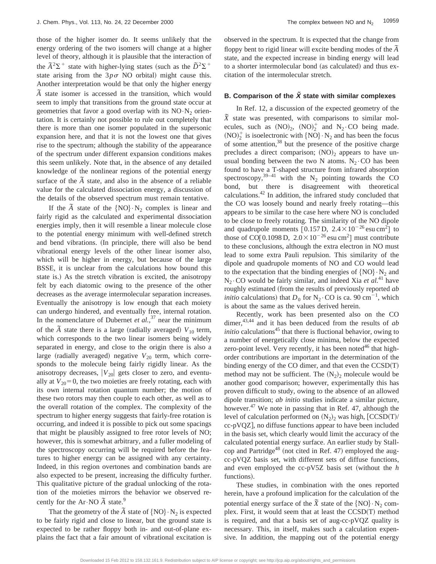those of the higher isomer do. It seems unlikely that the energy ordering of the two isomers will change at a higher level of theory, although it is plausible that the interaction of the  $\tilde{A}^2\Sigma^+$  state with higher-lying states (such as the  $\tilde{D}^2\Sigma^+$ state arising from the  $3p\sigma$  NO orbital) might cause this. Another interpretation would be that only the higher energy *˜ A* state isomer is accessed in the transition, which would seem to imply that transitions from the ground state occur at geometries that favor a good overlap with its  $NO\cdot N_2$  orientation. It is certainly not possible to rule out completely that there is more than one isomer populated in the supersonic expansion here, and that it is not the lowest one that gives rise to the spectrum; although the stability of the appearance of the spectrum under different expansion conditions makes this seem unlikely. Note that, in the absence of any detailed knowledge of the nonlinear regions of the potential energy surface of the  $\tilde{A}$  state, and also in the absence of a reliable value for the calculated dissociation energy, a discussion of the details of the observed spectrum must remain tentative.

If the  $\tilde{A}$  state of the  $\{NO\} \cdot N_2$  complex is linear and fairly rigid as the calculated and experimental dissociation energies imply, then it will resemble a linear molecule close to the potential energy minimum with well-defined stretch and bend vibrations. (In principle, there will also be bend vibrational energy levels of the other linear isomer also, which will be higher in energy, but because of the large BSSE, it is unclear from the calculations how bound this state is.) As the stretch vibration is excited, the anisotropy felt by each diatomic owing to the presence of the other decreases as the average intermolecular separation increases. Eventually the anisotropy is low enough that each moiety can undergo hindered, and eventually free, internal rotation. In the nomenclature of Dubernet *et al.*,<sup>37</sup> near the minimum of the  $\tilde{A}$  state there is a large (radially averaged)  $V_{10}$  term, which corresponds to the two linear isomers being widely separated in energy, and close to the origin there is also a large (radially averaged) negative  $V_{20}$  term, which corresponds to the molecule being fairly rigidly linear. As the anisotropy decreases,  $|V_{20}|$  gets closer to zero, and eventually at  $V_{20} = 0$ , the two moieties are freely rotating, each with its own internal rotation quantum number; the motion of these two rotors may then couple to each other, as well as to the overall rotation of the complex. The complexity of the spectrum to higher energy suggests that fairly-free rotation is occurring, and indeed it is possible to pick out some spacings that might be plausibly assigned to free rotor levels of NO; however, this is somewhat arbitrary, and a fuller modeling of the spectroscopy occurring will be required before the features to higher energy can be assigned with any certainty. Indeed, in this region overtones and combination bands are also expected to be present, increasing the difficulty further. This qualitative picture of the gradual unlocking of the rotation of the moieties mirrors the behavior we observed recently for the Ar $\cdot$ NO  $\widetilde{A}$  state.<sup>9</sup>

That the geometry of the  $\tilde{A}$  state of  $\{NO\} \cdot N_2$  is expected to be fairly rigid and close to linear, but the ground state is expected to be rather floppy both in- and out-of-plane explains the fact that a fair amount of vibrational excitation is observed in the spectrum. It is expected that the change from floppy bent to rigid linear will excite bending modes of the  $\tilde{A}$ state, and the expected increase in binding energy will lead to a shorter intermolecular bond (as calculated) and thus excitation of the intermolecular stretch.

## **B. Comparison of the**  $\tilde{X}$  **state with similar complexes**

In Ref. 12, a discussion of the expected geometry of the *˜ X* state was presented, with comparisons to similar molecules, such as  $(NO)_2$ ,  $(NO)_2^+$  and  $N_2 \cdot CO$  being made.  $(NO)<sub>2</sub><sup>+</sup>$  is isoelectronic with  ${NO} \cdot N<sub>2</sub>$  and has been the focus of some attention,  $38$  but the presence of the positive charge precludes a direct comparison;  $(NO)_2$  appears to have unusual bonding between the two N atoms.  $N_2$  CO has been found to have a T-shaped structure from infrared absorption spectroscopy,  $39-41$  with the N<sub>2</sub> pointing towards the CO bond, but there is disagreement with theoretical calculations.42 In addition, the infrared study concluded that the CO was loosely bound and nearly freely rotating—this appears to be similar to the case here where NO is concluded to be close to freely rotating. The similarity of the NO dipole and quadrupole moments [0.157 D,  $2.4 \times 10^{-26}$  esu cm<sup>2</sup>] to those of CO[0.1098 D,  $2.0 \times 10^{-26}$  esu cm<sup>2</sup>] must contribute to these conclusions, although the extra electron in NO must lead to some extra Pauli repulsion. This similarity of the dipole and quadrupole moments of NO and CO would lead to the expectation that the binding energies of  ${NO} \cdot N_2$  and  $N_2$  CO would be fairly similar, and indeed Xia *et al.*<sup>41</sup> have roughly estimated (from the results of previously reported *ab initio* calculations) that  $D_0$  for  $N_2$  CO is ca. 90 cm<sup>-1</sup>, which is about the same as the values derived herein.

Recently, work has been presented also on the CO dimer,<sup>43,44</sup> and it has been deduced from the results of *ab initio* calculations<sup>45</sup> that there is fluctional behavior, owing to a number of energetically close minima, below the expected zero-point level. Very recently, it has been noted $46$  that highorder contributions are important in the determination of the binding energy of the CO dimer, and that even the  $CCSD(T)$ method may not be sufficient. The  $(N_2)_2$  molecule would be another good comparison; however, experimentally this has proven difficult to study, owing to the absence of an allowed dipole transition; *ab initio* studies indicate a similar picture, however.<sup>47</sup> We note in passing that in Ref. 47, although the level of calculation performed on  $(N_2)_2$  was high,  $[CCSD(T)/$  $cc-pVQZ$ , no diffuse functions appear to have been included in the basis set, which clearly would limit the accuracy of the calculated potential energy surface. An earlier study by Stallcop and Partridge<sup>48</sup> (not cited in Ref. 47) employed the augcc-pVQZ basis set, with different sets of diffuse functions, and even employed the  $cc-pV5Z$  basis set (without the *h* functions).

These studies, in combination with the ones reported herein, have a profound implication for the calculation of the potential energy surface of the  $\tilde{X}$  state of the  $\{NO\} \cdot N_2$  complex. First, it would seem that at least the  $CCSD(T)$  method is required, and that a basis set of aug-cc-pVQZ quality is necessary. This, in itself, makes such a calculation expensive. In addition, the mapping out of the potential energy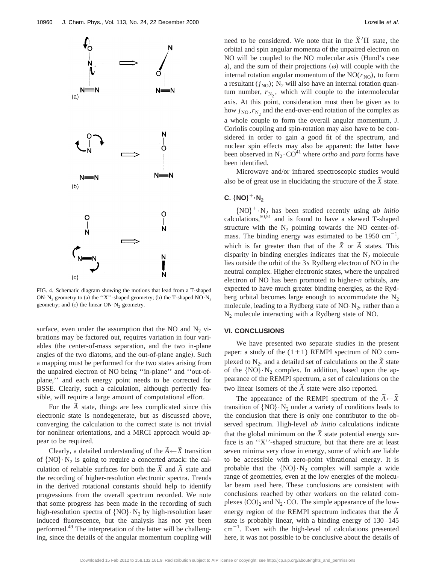

FIG. 4. Schematic diagram showing the motions that lead from a T-shaped ON $\cdot$ N<sub>2</sub> geometry to (a) the ''X''-shaped geometry; (b) the T-shaped NO $\cdot$ N<sub>2</sub> geometry; and (c) the linear  $ON·N_2$  geometry.

surface, even under the assumption that the NO and  $N_2$  vibrations may be factored out, requires variation in four variables (the center-of-mass separation, and the two in-plane angles of the two diatoms, and the out-of-plane angle). Such a mapping must be performed for the two states arising from the unpaired electron of NO being ''in-plane'' and ''out-ofplane,'' and each energy point needs to be corrected for BSSE. Clearly, such a calculation, although perfectly feasible, will require a large amount of computational effort.

For the  $\tilde{A}$  state, things are less complicated since this electronic state is nondegenerate, but as discussed above, converging the calculation to the correct state is not trivial for nonlinear orientations, and a MRCI approach would appear to be required.

Clearly, a detailed understanding of the  $\tilde{A} \leftarrow \tilde{X}$  transition of  $\{NO\} \cdot N_2$  is going to require a concerted attack: the calculation of reliable surfaces for both the  $\tilde{X}$  and  $\tilde{A}$  state and the recording of higher-resolution electronic spectra. Trends in the derived rotational constants should help to identify progressions from the overall spectrum recorded. We note that some progress has been made in the recording of such high-resolution spectra of  $\{NO\} \cdot N_2$  by high-resolution laser induced fluorescence, but the analysis has not yet been performed.<sup>49</sup> The interpretation of the latter will be challenging, since the details of the angular momentum coupling will

need to be considered. We note that in the  $\tilde{X}^2\Pi$  state, the orbital and spin angular momenta of the unpaired electron on NO will be coupled to the NO molecular axis (Hund's case a), and the sum of their projections  $(\omega)$  will couple with the internal rotation angular momentum of the  $NO(r_{NO})$ , to form a resultant  $(j_{\text{NO}})$ ; N<sub>2</sub> will also have an internal rotation quantum number,  $r_{N_2}$ , which will couple to the intermolecular axis. At this point, consideration must then be given as to how  $j_{\text{NO}}$ ,  $r_{\text{N}_2}$  and the end-over-end rotation of the complex as a whole couple to form the overall angular momentum, J. Coriolis coupling and spin-rotation may also have to be considered in order to gain a good fit of the spectrum, and nuclear spin effects may also be apparent: the latter have been observed in  $N_2 \cdot CO^{41}$  where *ortho* and *para* forms have been identified.

Microwave and/or infrared spectroscopic studies would also be of great use in elucidating the structure of the  $\bar{X}$  state.

## $C. \{NO\}^+ \cdot N_2$

 ${NO}^+ \cdot N_2$  has been studied recently using *ab initio* calculations, $50,51$  and is found to have a skewed T-shaped structure with the  $N_2$  pointing towards the NO center-ofmass. The binding energy was estimated to be 1950  $\text{cm}^{-1}$ , which is far greater than that of the  $\tilde{X}$  or  $\tilde{A}$  states. This disparity in binding energies indicates that the  $N_2$  molecule lies outside the orbit of the 3*s* Rydberg electron of NO in the neutral complex. Higher electronic states, where the unpaired electron of NO has been promoted to higher-*n* orbitals, are expected to have much greater binding energies, as the Rydberg orbital becomes large enough to accommodate the  $N_2$ molecule, leading to a Rydberg state of  $NO·N_2$ , rather than a  $N_2$  molecule interacting with a Rydberg state of NO.

## **VI. CONCLUSIONS**

We have presented two separate studies in the present paper: a study of the  $(1+1)$  REMPI spectrum of NO complexed to  $N_2$ , and a detailed set of calculations on the  $\tilde{X}$  state of the  ${NO} \cdot N_2$  complex. In addition, based upon the appearance of the REMPI spectrum, a set of calculations on the two linear isomers of the  $\tilde{A}$  state were also reported.

The appearance of the REMPI spectrum of the  $\tilde{A} \leftarrow \tilde{X}$ transition of  $\{NO\} \cdot N_2$  under a variety of conditions leads to the conclusion that there is only one contributor to the observed spectrum. High-level *ab initio* calculations indicate that the global minimum on the  $\bar{X}$  state potential energy surface is an ''X''-shaped structure, but that there are at least seven minima very close in energy, some of which are liable to be accessible with zero-point vibrational energy. It is probable that the  ${NO} \cdot N_2$  complex will sample a wide range of geometries, even at the low energies of the molecular beam used here. These conclusions are consistent with conclusions reached by other workers on the related complexes  $({\rm CO})_2$  and  $N_2 \cdot {\rm CO}$ . The simple appearance of the lowenergy region of the REMPI spectrum indicates that the  $\tilde{A}$ state is probably linear, with a binding energy of 130–145  $cm^{-1}$ . Even with the high-level of calculations presented here, it was not possible to be conclusive about the details of